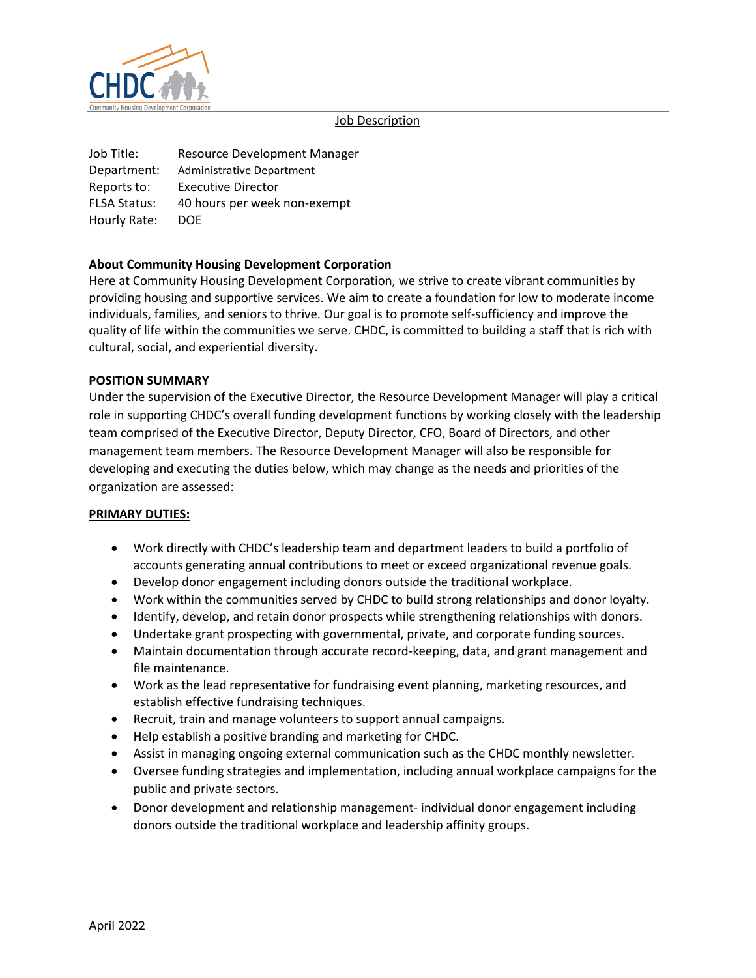

### Job Description

Job Title: Resource Development Manager Department: Administrative Department Reports to: Executive Director FLSA Status: 40 hours per week non-exempt Hourly Rate: DOE

# **About Community Housing Development Corporation**

Here at Community Housing Development Corporation, we strive to create vibrant communities by providing housing and supportive services. We aim to create a foundation for low to moderate income individuals, families, and seniors to thrive. Our goal is to promote self-sufficiency and improve the quality of life within the communities we serve. CHDC, is committed to building a staff that is rich with cultural, social, and experiential diversity.

### **POSITION SUMMARY**

Under the supervision of the Executive Director, the Resource Development Manager will play a critical role in supporting CHDC's overall funding development functions by working closely with the leadership team comprised of the Executive Director, Deputy Director, CFO, Board of Directors, and other management team members. The Resource Development Manager will also be responsible for developing and executing the duties below, which may change as the needs and priorities of the organization are assessed:

#### **PRIMARY DUTIES:**

- Work directly with CHDC's leadership team and department leaders to build a portfolio of accounts generating annual contributions to meet or exceed organizational revenue goals.
- Develop donor engagement including donors outside the traditional workplace.
- Work within the communities served by CHDC to build strong relationships and donor loyalty.
- Identify, develop, and retain donor prospects while strengthening relationships with donors.
- Undertake grant prospecting with governmental, private, and corporate funding sources.
- Maintain documentation through accurate record-keeping, data, and grant management and file maintenance.
- Work as the lead representative for fundraising event planning, marketing resources, and establish effective fundraising techniques.
- Recruit, train and manage volunteers to support annual campaigns.
- Help establish a positive branding and marketing for CHDC.
- Assist in managing ongoing external communication such as the CHDC monthly newsletter.
- Oversee funding strategies and implementation, including annual workplace campaigns for the public and private sectors.
- Donor development and relationship management- individual donor engagement including donors outside the traditional workplace and leadership affinity groups.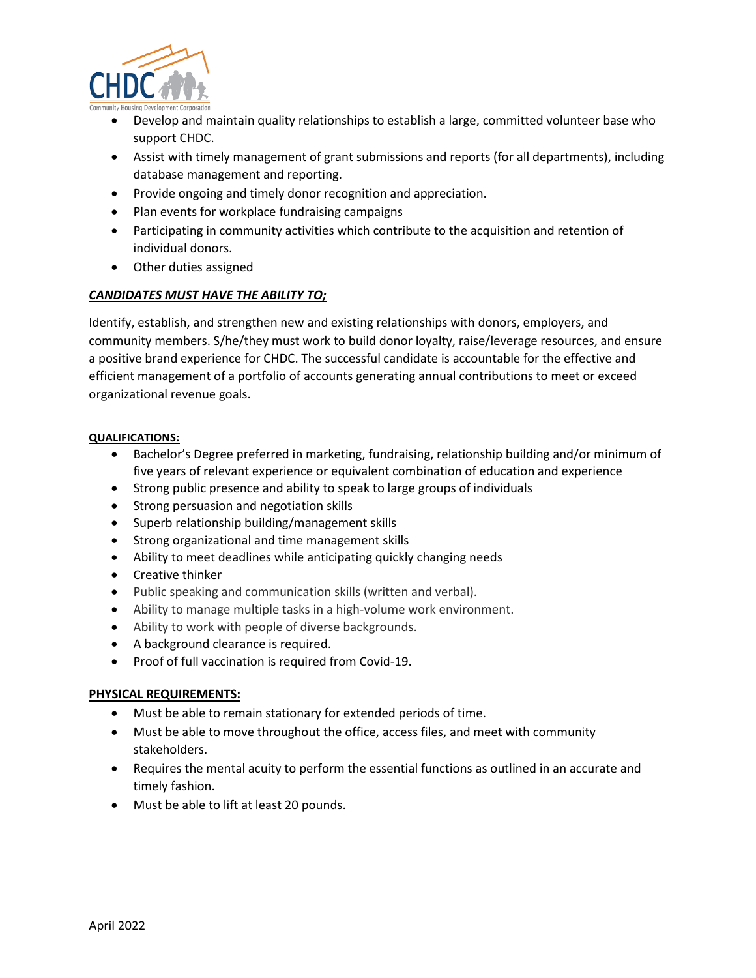

- Develop and maintain quality relationships to establish a large, committed volunteer base who support CHDC.
- Assist with timely management of grant submissions and reports (for all departments), including database management and reporting.
- Provide ongoing and timely donor recognition and appreciation.
- Plan events for workplace fundraising campaigns
- Participating in community activities which contribute to the acquisition and retention of individual donors.
- Other duties assigned

## *CANDIDATES MUST HAVE THE ABILITY TO;*

Identify, establish, and strengthen new and existing relationships with donors, employers, and community members. S/he/they must work to build donor loyalty, raise/leverage resources, and ensure a positive brand experience for CHDC. The successful candidate is accountable for the effective and efficient management of a portfolio of accounts generating annual contributions to meet or exceed organizational revenue goals.

### **QUALIFICATIONS:**

- Bachelor's Degree preferred in marketing, fundraising, relationship building and/or minimum of five years of relevant experience or equivalent combination of education and experience
- Strong public presence and ability to speak to large groups of individuals
- Strong persuasion and negotiation skills
- Superb relationship building/management skills
- Strong organizational and time management skills
- Ability to meet deadlines while anticipating quickly changing needs
- Creative thinker
- Public speaking and communication skills (written and verbal).
- Ability to manage multiple tasks in a high-volume work environment.
- Ability to work with people of diverse backgrounds.
- A background clearance is required.
- Proof of full vaccination is required from Covid-19.

## **PHYSICAL REQUIREMENTS:**

- Must be able to remain stationary for extended periods of time.
- Must be able to move throughout the office, access files, and meet with community stakeholders.
- Requires the mental acuity to perform the essential functions as outlined in an accurate and timely fashion.
- Must be able to lift at least 20 pounds.